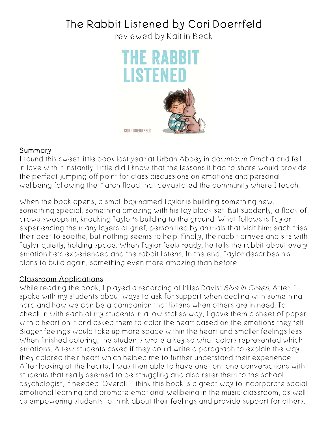## The Rabbit Listened by Cori Doerrfeld

reviewed by Kaitlin Beck



## **Summary**

I found this sweet little book last year at Urban Abbey in downtown Omaha and fell in love with it instantly. Little did I know that the lessons it had to share would provide the perfect jumping off point for class discussions on emotions and personal wellbeing following the March flood that devastated the community where I teach.

When the book opens, a small boy named Taylor is building something new, something special, something amazing with his toy block set. But suddenly, a flock of crows swoops in, knocking Taylor's building to the ground. What follows is Taylor experiencing the many layers of grief, personified by animals that visit him; each tries their best to soothe, but nothing seems to help. Finally, the rabbit arrives and sits with Taylor quietly, holding space. When Taylor feels ready, he tells the rabbit about every emotion he's experienced and the rabbit listens. In the end, Taylor describes his plans to build again, something even more amazing than before.

## Classroom Applications

While reading the book, I played a recording of Miles Davis' Blue in Green. After, I spoke with my students about ways to ask for support when dealing with something hard and how we can be a companion that listens when others are in need. To check in with each of my students in a low stakes way, I gave them a sheet of paper with a heart on it and asked them to color the heart based on the emotions they felt. Bigger feelings would take up more space within the heart and smaller feelings less. When finished coloring, the students wrote a key so what colors represented which emotions. A few students asked if they could write a paragraph to explain the way they colored their heart which helped me to further understand their experience. After looking at the hearts, I was then able to have one-on-one conversations with students that really seemed to be struggling and also refer them to the school psychologist, if needed. Overall, I think this book is a great way to incorporate social emotional learning and promote emotional wellbeing in the music classroom, as well as empowering students to think about their feelings and provide support for others.